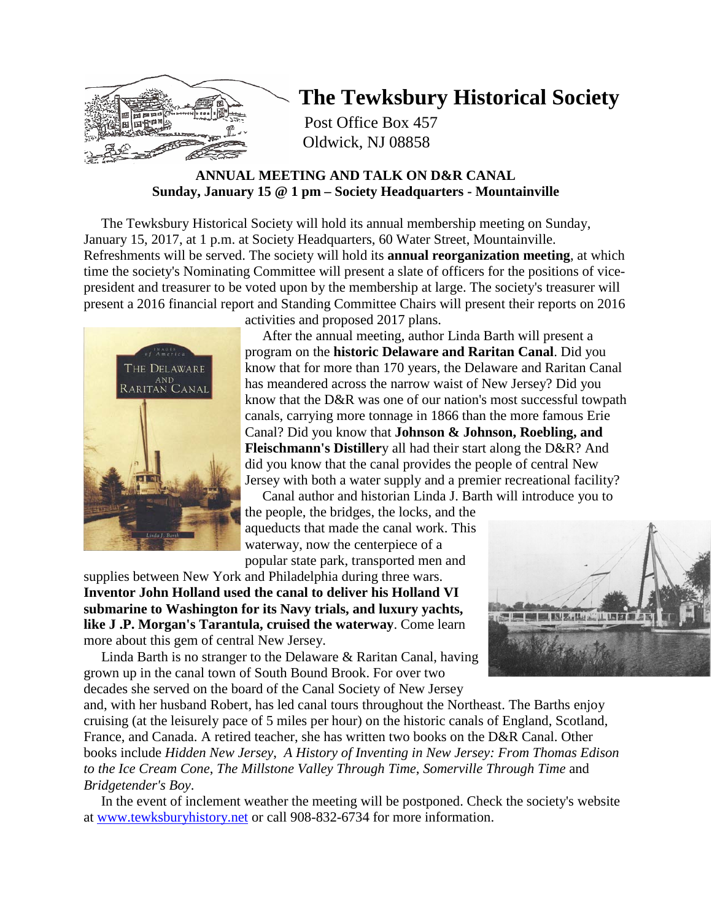

# **The Tewksbury Historical Society**

Post Office Box 457 Oldwick, NJ 08858

# **ANNUAL MEETING AND TALK ON D&R CANAL Sunday, January 15 @ 1 pm – Society Headquarters - Mountainville**

 The Tewksbury Historical Society will hold its annual membership meeting on Sunday, January 15, 2017, at 1 p.m. at Society Headquarters, 60 Water Street, Mountainville. Refreshments will be served. The society will hold its **annual reorganization meeting**, at which time the society's Nominating Committee will present a slate of officers for the positions of vicepresident and treasurer to be voted upon by the membership at large. The society's treasurer will present a 2016 financial report and Standing Committee Chairs will present their reports on 2016



activities and proposed 2017 plans.

 After the annual meeting, author Linda Barth will present a program on the **historic Delaware and Raritan Canal**. Did you know that for more than 170 years, the Delaware and Raritan Canal has meandered across the narrow waist of New Jersey? Did you know that the D&R was one of our nation's most successful towpath canals, carrying more tonnage in 1866 than the more famous Erie Canal? Did you know that **Johnson & Johnson, Roebling, and Fleischmann's Distiller**y all had their start along the D&R? And did you know that the canal provides the people of central New Jersey with both a water supply and a premier recreational facility?

 Canal author and historian Linda J. Barth will introduce you to the people, the bridges, the locks, and the aqueducts that made the canal work. This waterway, now the centerpiece of a popular state park, transported men and

supplies between New York and Philadelphia during three wars. **Inventor John Holland used the canal to deliver his Holland VI submarine to Washington for its Navy trials, and luxury yachts, like J .P. Morgan's Tarantula, cruised the waterway**. Come learn more about this gem of central New Jersey.

 Linda Barth is no stranger to the Delaware & Raritan Canal, having grown up in the canal town of South Bound Brook. For over two decades she served on the board of the Canal Society of New Jersey



and, with her husband Robert, has led canal tours throughout the Northeast. The Barths enjoy cruising (at the leisurely pace of 5 miles per hour) on the historic canals of England, Scotland, France, and Canada. A retired teacher, she has written two books on the D&R Canal. Other books include *Hidden New Jersey*, *A History of Inventing in New Jersey: From Thomas Edison to the Ice Cream Cone*, *The Millstone Valley Through Time*, *Somerville Through Time* and *Bridgetender's Boy*.

 In the event of inclement weather the meeting will be postponed. Check the society's website at [www.tewksburyhistory.net](http://www.tewksburyhistory.net/) or call 908-832-6734 for more information.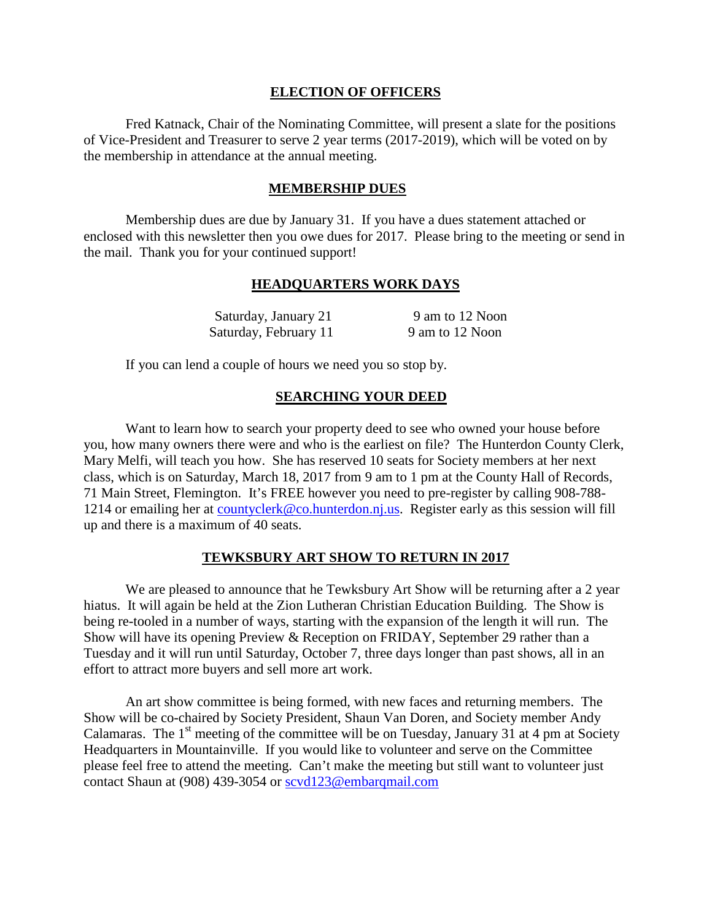### **ELECTION OF OFFICERS**

Fred Katnack, Chair of the Nominating Committee, will present a slate for the positions of Vice-President and Treasurer to serve 2 year terms (2017-2019), which will be voted on by the membership in attendance at the annual meeting.

### **MEMBERSHIP DUES**

Membership dues are due by January 31. If you have a dues statement attached or enclosed with this newsletter then you owe dues for 2017. Please bring to the meeting or send in the mail. Thank you for your continued support!

#### **HEADQUARTERS WORK DAYS**

| Saturday, January 21  | 9 am to 12 Noon |
|-----------------------|-----------------|
| Saturday, February 11 | 9 am to 12 Noon |

If you can lend a couple of hours we need you so stop by.

## **SEARCHING YOUR DEED**

Want to learn how to search your property deed to see who owned your house before you, how many owners there were and who is the earliest on file? The Hunterdon County Clerk, Mary Melfi, will teach you how. She has reserved 10 seats for Society members at her next class, which is on Saturday, March 18, 2017 from 9 am to 1 pm at the County Hall of Records, 71 Main Street, Flemington. It's FREE however you need to pre-register by calling 908-788- 1214 or emailing her at [countyclerk@co.hunterdon.nj.us.](mailto:countyclerk@co.hunterdon.nj.us) Register early as this session will fill up and there is a maximum of 40 seats.

## **TEWKSBURY ART SHOW TO RETURN IN 2017**

We are pleased to announce that he Tewksbury Art Show will be returning after a 2 year hiatus. It will again be held at the Zion Lutheran Christian Education Building. The Show is being re-tooled in a number of ways, starting with the expansion of the length it will run. The Show will have its opening Preview & Reception on FRIDAY, September 29 rather than a Tuesday and it will run until Saturday, October 7, three days longer than past shows, all in an effort to attract more buyers and sell more art work.

An art show committee is being formed, with new faces and returning members. The Show will be co-chaired by Society President, Shaun Van Doren, and Society member Andy Calamaras. The  $1<sup>st</sup>$  meeting of the committee will be on Tuesday, January 31 at 4 pm at Society Headquarters in Mountainville. If you would like to volunteer and serve on the Committee please feel free to attend the meeting. Can't make the meeting but still want to volunteer just contact Shaun at (908) 439-3054 or [scvd123@embarqmail.com](mailto:scvd123@embarqmail.com)